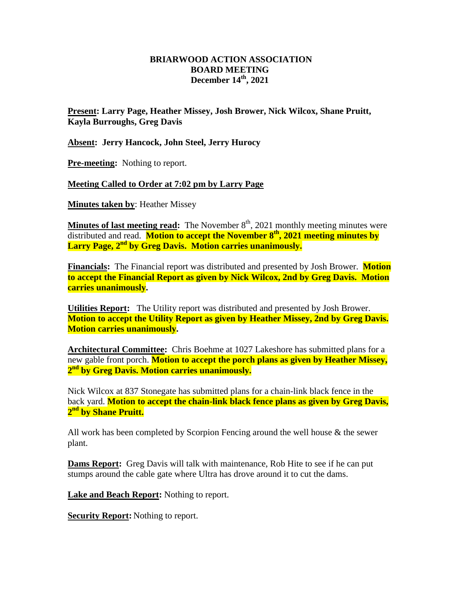## **BRIARWOOD ACTION ASSOCIATION BOARD MEETING December 14th, 2021**

**Present: Larry Page, Heather Missey, Josh Brower, Nick Wilcox, Shane Pruitt, Kayla Burroughs, Greg Davis**

**Absent: Jerry Hancock, John Steel, Jerry Hurocy**

**Pre-meeting:** Nothing to report.

**Meeting Called to Order at 7:02 pm by Larry Page**

**Minutes taken by**: Heather Missey

**Minutes of last meeting read:** The November 8<sup>th</sup>, 2021 monthly meeting minutes were distributed and read. **Motion to accept the November 8 th, 2021 meeting minutes by Larry Page, 2nd by Greg Davis. Motion carries unanimously.**

**Financials:** The Financial report was distributed and presented by Josh Brower. **Motion to accept the Financial Report as given by Nick Wilcox, 2nd by Greg Davis. Motion carries unanimously.** 

**Utilities Report:** The Utility report was distributed and presented by Josh Brower. **Motion to accept the Utility Report as given by Heather Missey, 2nd by Greg Davis. Motion carries unanimously.** 

**Architectural Committee:** Chris Boehme at 1027 Lakeshore has submitted plans for a new gable front porch. **Motion to accept the porch plans as given by Heather Missey, 2 nd by Greg Davis. Motion carries unanimously.**

Nick Wilcox at 837 Stonegate has submitted plans for a chain-link black fence in the back yard. **Motion to accept the chain-link black fence plans as given by Greg Davis, 2 nd by Shane Pruitt.**

All work has been completed by Scorpion Fencing around the well house & the sewer plant.

**Dams Report:** Greg Davis will talk with maintenance, Rob Hite to see if he can put stumps around the cable gate where Ultra has drove around it to cut the dams.

**Lake and Beach Report:** Nothing to report.

**Security Report:** Nothing to report.